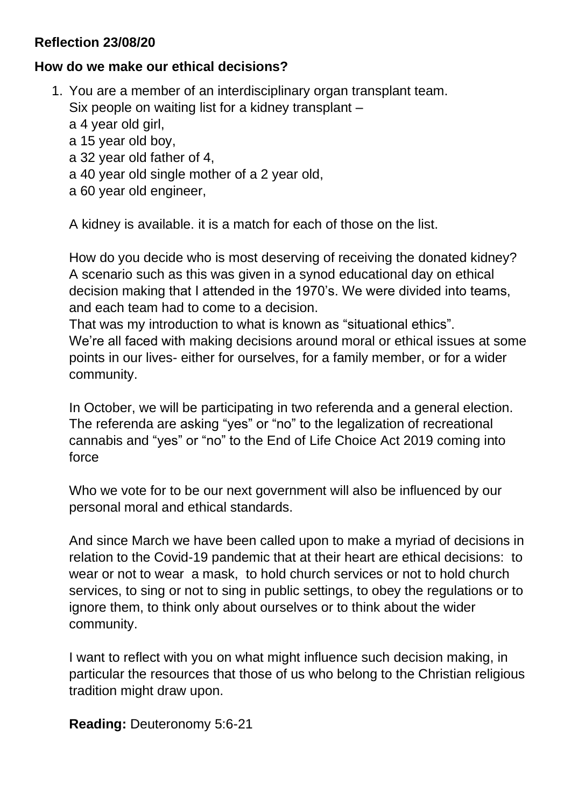## **Reflection 23/08/20**

## **How do we make our ethical decisions?**

1. You are a member of an interdisciplinary organ transplant team. Six people on waiting list for a kidney transplant – a 4 year old girl, a 15 year old boy, a 32 year old father of 4, a 40 year old single mother of a 2 year old, a 60 year old engineer,

A kidney is available. it is a match for each of those on the list.

How do you decide who is most deserving of receiving the donated kidney? A scenario such as this was given in a synod educational day on ethical decision making that I attended in the 1970's. We were divided into teams, and each team had to come to a decision.

That was my introduction to what is known as "situational ethics". We're all faced with making decisions around moral or ethical issues at some points in our lives- either for ourselves, for a family member, or for a wider community.

In October, we will be participating in two referenda and a general election. The referenda are asking "yes" or "no" to the legalization of recreational cannabis and "yes" or "no" to the End of Life Choice Act 2019 coming into force

Who we vote for to be our next government will also be influenced by our personal moral and ethical standards.

And since March we have been called upon to make a myriad of decisions in relation to the Covid-19 pandemic that at their heart are ethical decisions: to wear or not to wear a mask, to hold church services or not to hold church services, to sing or not to sing in public settings, to obey the regulations or to ignore them, to think only about ourselves or to think about the wider community.

I want to reflect with you on what might influence such decision making, in particular the resources that those of us who belong to the Christian religious tradition might draw upon.

**Reading:** Deuteronomy 5:6-21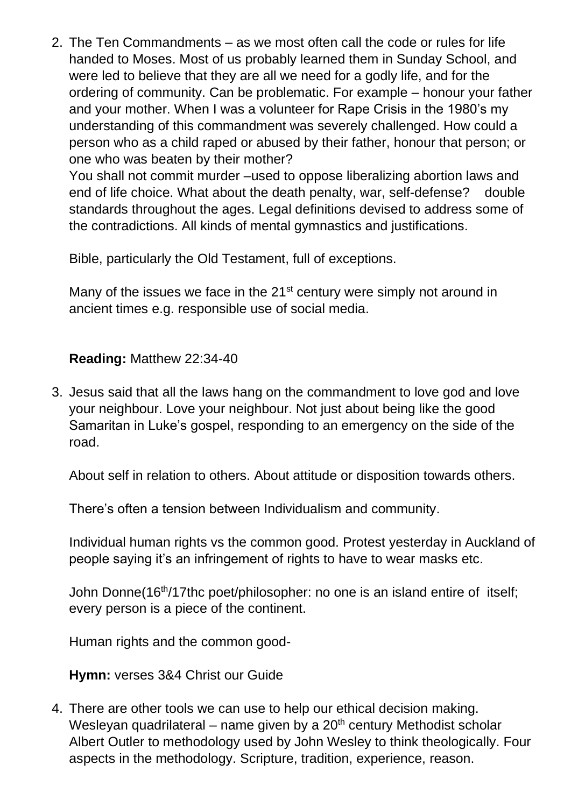2. The Ten Commandments – as we most often call the code or rules for life handed to Moses. Most of us probably learned them in Sunday School, and were led to believe that they are all we need for a godly life, and for the ordering of community. Can be problematic. For example – honour your father and your mother. When I was a volunteer for Rape Crisis in the 1980's my understanding of this commandment was severely challenged. How could a person who as a child raped or abused by their father, honour that person; or one who was beaten by their mother?

You shall not commit murder –used to oppose liberalizing abortion laws and end of life choice. What about the death penalty, war, self-defense? double standards throughout the ages. Legal definitions devised to address some of the contradictions. All kinds of mental gymnastics and justifications.

Bible, particularly the Old Testament, full of exceptions.

Many of the issues we face in the  $21<sup>st</sup>$  century were simply not around in ancient times e.g. responsible use of social media.

## **Reading:** Matthew 22:34-40

3. Jesus said that all the laws hang on the commandment to love god and love your neighbour. Love your neighbour. Not just about being like the good Samaritan in Luke's gospel, responding to an emergency on the side of the road.

About self in relation to others. About attitude or disposition towards others.

There's often a tension between Individualism and community.

Individual human rights vs the common good. Protest yesterday in Auckland of people saying it's an infringement of rights to have to wear masks etc.

John Donne(16th/17thc poet/philosopher: no one is an island entire of itself; every person is a piece of the continent.

Human rights and the common good-

**Hymn:** verses 3&4 Christ our Guide

4. There are other tools we can use to help our ethical decision making. Wesleyan quadrilateral – name given by a  $20<sup>th</sup>$  century Methodist scholar Albert Outler to methodology used by John Wesley to think theologically. Four aspects in the methodology. Scripture, tradition, experience, reason.